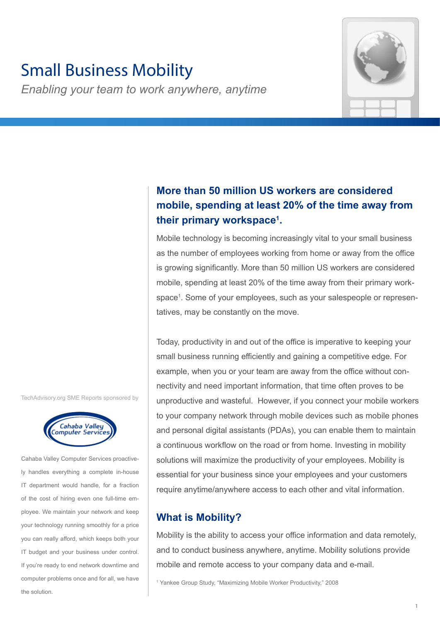# Small Business Mobility

*Enabling your team to work anywhere, anytime*



## **More than 50 million US workers are considered mobile, spending at least 20% of the time away from their primary workspace1 .**

Mobile technology is becoming increasingly vital to your small business as the number of employees working from home or away from the office is growing significantly. More than 50 million US workers are considered mobile, spending at least 20% of the time away from their primary workspace1 . Some of your employees, such as your salespeople or representatives, may be constantly on the move.

Today, productivity in and out of the office is imperative to keeping your small business running efficiently and gaining a competitive edge. For example, when you or your team are away from the office without connectivity and need important information, that time often proves to be unproductive and wasteful. However, if you connect your mobile workers to your company network through mobile devices such as mobile phones and personal digital assistants (PDAs), you can enable them to maintain a continuous workflow on the road or from home. Investing in mobility solutions will maximize the productivity of your employees. Mobility is essential for your business since your employees and your customers require anytime/anywhere access to each other and vital information.

### **What is Mobility?**

Mobility is the ability to access your office information and data remotely, and to conduct business anywhere, anytime. Mobility solutions provide mobile and remote access to your company data and e-mail.

1 Yankee Group Study, "Maximizing Mobile Worker Productivity," 2008

TechAdvisory.org SME Reports sponsored by



Cahaba Valley Computer Services proactively handles everything a complete in-house IT department would handle, for a fraction of the cost of hiring even one full-time employee. We maintain your network and keep your technology running smoothly for a price you can really afford, which keeps both your IT budget and your business under control. If you're ready to end network downtime and computer problems once and for all, we have the solution.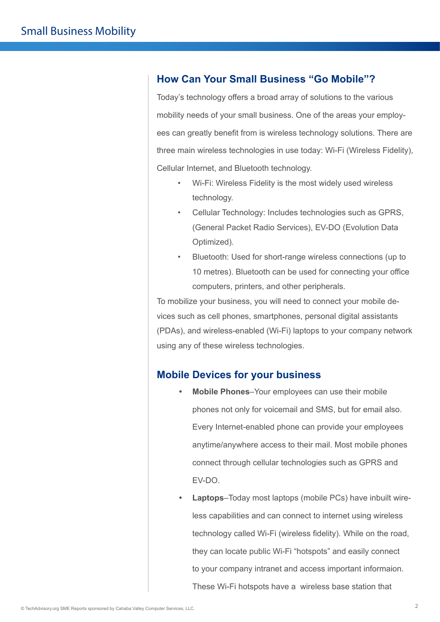### **How Can Your Small Business "Go Mobile"?**

Today's technology offers a broad array of solutions to the various mobility needs of your small business. One of the areas your employees can greatly benefit from is wireless technology solutions. There are three main wireless technologies in use today: Wi-Fi (Wireless Fidelity), Cellular Internet, and Bluetooth technology.

- Wi-Fi: Wireless Fidelity is the most widely used wireless technology.
- Cellular Technology: Includes technologies such as GPRS, (General Packet Radio Services), EV-DO (Evolution Data Optimized).
- Bluetooth: Used for short-range wireless connections (up to 10 metres). Bluetooth can be used for connecting your office computers, printers, and other peripherals.

To mobilize your business, you will need to connect your mobile devices such as cell phones, smartphones, personal digital assistants (PDAs), and wireless-enabled (Wi-Fi) laptops to your company network using any of these wireless technologies.

### **Mobile Devices for your business**

- **• Mobile Phones**–Your employees can use their mobile phones not only for voicemail and SMS, but for email also. Every Internet-enabled phone can provide your employees anytime/anywhere access to their mail. Most mobile phones connect through cellular technologies such as GPRS and EV-DO.
- **• Laptops**–Today most laptops (mobile PCs) have inbuilt wireless capabilities and can connect to internet using wireless technology called Wi-Fi (wireless fidelity). While on the road, they can locate public Wi-Fi "hotspots" and easily connect to your company intranet and access important informaion. These Wi-Fi hotspots have a wireless base station that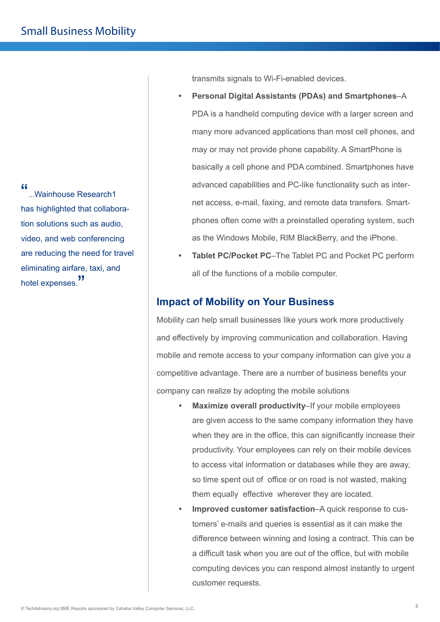"...<br>Wainhouse Research1... has highlighted that collaboration solutions such as audio, video, and web conferencing are reducing the need for travel eliminating airfare, taxi, and hotel expenses."

transmits signals to Wi-Fi-enabled devices.

- **• Personal Digital Assistants (PDAs) and Smartphones**–A PDA is a handheld computing device with a larger screen and many more advanced applications than most cell phones, and may or may not provide phone capability. A SmartPhone is basically a cell phone and PDA combined. Smartphones have advanced capabilities and PC-like functionality such as internet access, e-mail, faxing, and remote data transfers. Smartphones often come with a preinstalled operating system, such as the Windows Mobile, RIM BlackBerry, and the iPhone.
- **• Tablet PC/Pocket PC**–The Tablet PC and Pocket PC perform all of the functions of a mobile computer.

### **Impact of Mobility on Your Business**

Mobility can help small businesses like yours work more productively and effectively by improving communication and collaboration. Having mobile and remote access to your company information can give you a competitive advantage. There are a number of business benefits your company can realize by adopting the mobile solutions

- **• Maximize overall productivity**–If your mobile employees are given access to the same company information they have when they are in the office, this can significantly increase their productivity. Your employees can rely on their mobile devices to access vital information or databases while they are away, so time spent out of office or on road is not wasted, making them equally effective wherever they are located.
- **• Improved customer satisfaction**–A quick response to customers' e-mails and queries is essential as it can make the difference between winning and losing a contract. This can be a difficult task when you are out of the office, but with mobile computing devices you can respond almost instantly to urgent customer requests.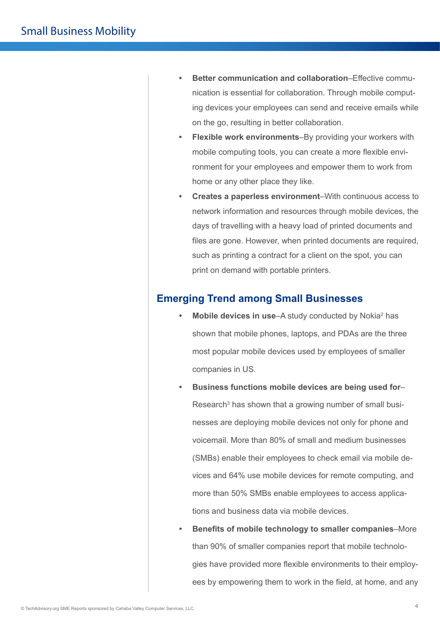- **• Better communication and collaboration**–Effective communication is essential for collaboration. Through mobile computing devices your employees can send and receive emails while on the go, resulting in better collaboration.
- **• Flexible work environments**–By providing your workers with mobile computing tools, you can create a more flexible environment for your employees and empower them to work from home or any other place they like.
- **• Creates a paperless environment**–With continuous access to network information and resources through mobile devices, the days of travelling with a heavy load of printed documents and files are gone. However, when printed documents are required, such as printing a contract for a client on the spot, you can print on demand with portable printers.

### **Emerging Trend among Small Businesses**

- Mobile devices in use–A study conducted by Nokia<sup>2</sup> has shown that mobile phones, laptops, and PDAs are the three most popular mobile devices used by employees of smaller companies in US.
- **• Business functions mobile devices are being used for** Research<sup>3</sup> has shown that a growing number of small businesses are deploying mobile devices not only for phone and voicemail. More than 80% of small and medium businesses (SMBs) enable their employees to check email via mobile devices and 64% use mobile devices for remote computing, and more than 50% SMBs enable employees to access applications and business data via mobile devices.
- **• Benefits of mobile technology to smaller companies**–More than 90% of smaller companies report that mobile technologies have provided more flexible environments to their employees by empowering them to work in the field, at home, and any